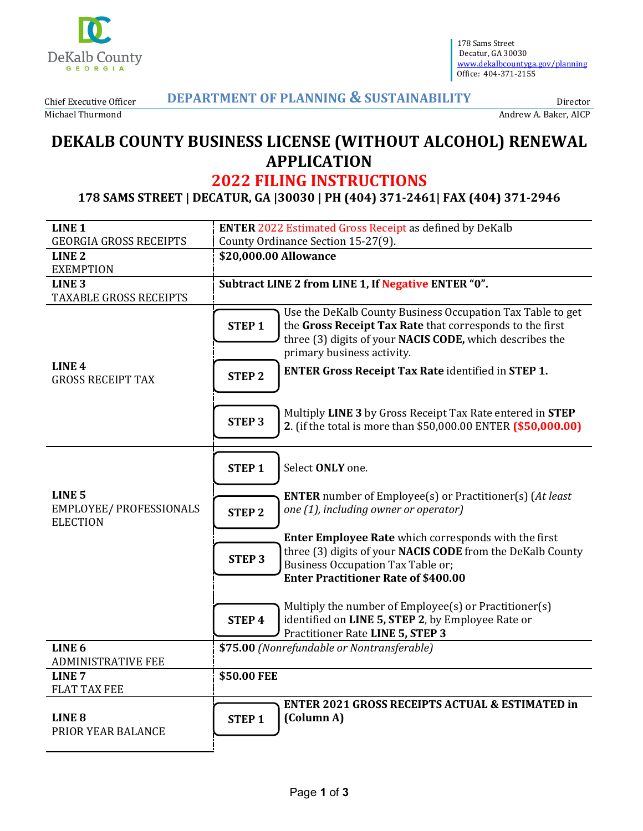

178 Sams Street Decatur, GA 30030 [www.dekalbcountyga.gov/planning](http://www.dekalbcountyga.gov/planning) Office: 404-371-2155

Chief Executive Officer Michael Thurmond

# **DEPARTMENT OF PLANNING & SUSTAINABILITY**

Andrew A. Baker, AICP

Director

# **DEKALB COUNTY BUSINESS LICENSE (WITHOUT ALCOHOL) RENEWAL APPLICATION**

# **2022 FILING INSTRUCTIONS**

**178 SAMS STREET | DECATUR, GA |30030 | PH (404) 371-2461| FAX (404) 371-2946** 

| <b>GEORGIA GROSS RECEIPTS</b><br>County Ordinance Section 15-27(9).<br>LINE <sub>2</sub><br>\$20,000.00 Allowance<br><b>EXEMPTION</b><br>Subtract LINE 2 from LINE 1, If Negative ENTER "0".<br>LINE <sub>3</sub><br><b>TAXABLE GROSS RECEIPTS</b><br>Use the DeKalb County Business Occupation Tax Table to get<br>the Gross Receipt Tax Rate that corresponds to the first<br><b>STEP1</b> |
|----------------------------------------------------------------------------------------------------------------------------------------------------------------------------------------------------------------------------------------------------------------------------------------------------------------------------------------------------------------------------------------------|
|                                                                                                                                                                                                                                                                                                                                                                                              |
|                                                                                                                                                                                                                                                                                                                                                                                              |
|                                                                                                                                                                                                                                                                                                                                                                                              |
|                                                                                                                                                                                                                                                                                                                                                                                              |
|                                                                                                                                                                                                                                                                                                                                                                                              |
|                                                                                                                                                                                                                                                                                                                                                                                              |
| three (3) digits of your NACIS CODE, which describes the                                                                                                                                                                                                                                                                                                                                     |
| primary business activity.                                                                                                                                                                                                                                                                                                                                                                   |
| LINE <sub>4</sub><br><b>ENTER Gross Receipt Tax Rate identified in STEP 1.</b>                                                                                                                                                                                                                                                                                                               |
| <b>STEP 2</b><br><b>GROSS RECEIPT TAX</b>                                                                                                                                                                                                                                                                                                                                                    |
|                                                                                                                                                                                                                                                                                                                                                                                              |
| Multiply LINE 3 by Gross Receipt Tax Rate entered in STEP                                                                                                                                                                                                                                                                                                                                    |
| <b>STEP 3</b><br>2. (if the total is more than \$50,000.00 ENTER (\$50,000.00)                                                                                                                                                                                                                                                                                                               |
|                                                                                                                                                                                                                                                                                                                                                                                              |
|                                                                                                                                                                                                                                                                                                                                                                                              |
| Select ONLY one.<br><b>STEP1</b>                                                                                                                                                                                                                                                                                                                                                             |
| LINE <sub>5</sub><br><b>ENTER</b> number of Employee(s) or Practitioner(s) (At least                                                                                                                                                                                                                                                                                                         |
| EMPLOYEE/ PROFESSIONALS<br>one (1), including owner or operator)<br><b>STEP 2</b>                                                                                                                                                                                                                                                                                                            |
| <b>ELECTION</b>                                                                                                                                                                                                                                                                                                                                                                              |
| <b>Enter Employee Rate</b> which corresponds with the first                                                                                                                                                                                                                                                                                                                                  |
| three (3) digits of your NACIS CODE from the DeKalb County<br><b>STEP3</b>                                                                                                                                                                                                                                                                                                                   |
| <b>Business Occupation Tax Table or;</b>                                                                                                                                                                                                                                                                                                                                                     |
| <b>Enter Practitioner Rate of \$400.00</b>                                                                                                                                                                                                                                                                                                                                                   |
| Multiply the number of Employee(s) or Practitioner(s)                                                                                                                                                                                                                                                                                                                                        |
| identified on LINE 5, STEP 2, by Employee Rate or<br><b>STEP4</b>                                                                                                                                                                                                                                                                                                                            |
| Practitioner Rate LINE 5, STEP 3                                                                                                                                                                                                                                                                                                                                                             |
| LINE <sub>6</sub><br>\$75.00 (Nonrefundable or Nontransferable)                                                                                                                                                                                                                                                                                                                              |
| <b>ADMINISTRATIVE FEE</b>                                                                                                                                                                                                                                                                                                                                                                    |
| \$50.00 FEE<br>LINE <sub>7</sub>                                                                                                                                                                                                                                                                                                                                                             |
| <b>FLAT TAX FEE</b>                                                                                                                                                                                                                                                                                                                                                                          |
| <b>ENTER 2021 GROSS RECEIPTS ACTUAL &amp; ESTIMATED in</b>                                                                                                                                                                                                                                                                                                                                   |
| (Column A)<br>LINE <sub>8</sub><br><b>STEP1</b><br>PRIOR YEAR BALANCE                                                                                                                                                                                                                                                                                                                        |
|                                                                                                                                                                                                                                                                                                                                                                                              |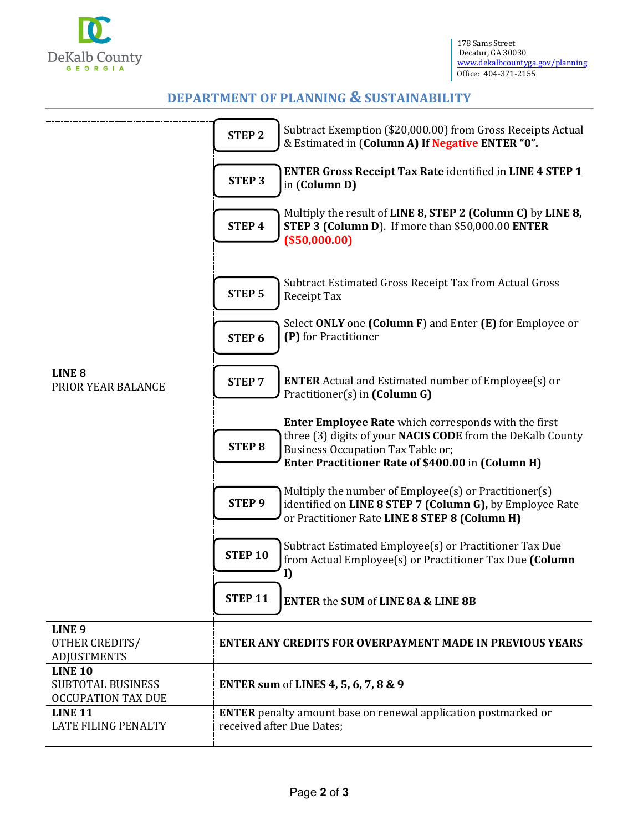

# **DEPARTMENT OF PLANNING & SUSTAINABILITY**